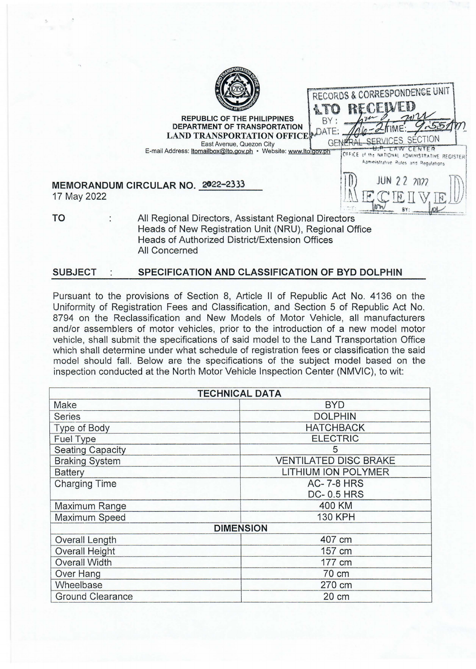

**REPUBLIC OF THE PHILIPPINES** BY: DEPARTMENT OF TRANSPORTATION DATE: **LAND TRANSPORTATION OFFICE** SECTION GENERA East Avenue, Quezon City CENTER TAW E-mail Address: *ltomailbox@lto.gov.ph* · Website: www.lto gov.ph OFFICE of the NATIONAL ADMINISTRATIVE REGISTER Administrative Rules and Regulations

**ATO** 

RECORDS & CORRESPONDENCE UNIT

**RFC** 

FIVED

## **MEMORANDUM CIRCULAR NO.** 2022- <sup>2333</sup>TI)) JUN 2 2 7017 ffi\ 17 May 2022  $\frac{|\Lambda|}{|\Lambda|}$  is  $\mathbb{E} \mathbb{E} \mathbb{I} \mathbb{V}$  if  $\mathbb{E} \mathbb{I} \mathbb{V}$

TO **All Regional Directors, Assistant Regional Directors** Heads of New Registration Unit (NRU), Regional Office Heads of Authorized District/Extension Offices All Concerned

## SUBJECT : SPECIFICATION AND CLASSIFICATION OF BYD DOLPHIN

Pursuant to the provisions of Section 8, Article 11 of Republic Act No. 4136 on the Uniformity of Registration Fees and Classification, and Section 5 of Republic Act No. 8794 on the Reclassification and New Models of Motor Vehicle, all manufacturers and/or assemblers of motor vehicles, prior to the introduction of a new model motor vehicle, shall submit the specifications of said model to the Land Transportation Office which shall determine under what schedule of registration fees or classification the said model should fall. Below are the specifications of the subject model based on the inspection conducted at the North Motor Vehicle Inspection Center (NMVIC), to wit:

| <b>TECHNICAL DATA</b>   |                              |
|-------------------------|------------------------------|
| Make                    | <b>BYD</b>                   |
| <b>Series</b>           | <b>DOLPHIN</b>               |
| <b>Type of Body</b>     | <b>HATCHBACK</b>             |
| <b>Fuel Type</b>        | <b>ELECTRIC</b>              |
| <b>Seating Capacity</b> | 5                            |
| <b>Braking System</b>   | <b>VENTILATED DISC BRAKE</b> |
| <b>Battery</b>          | <b>LITHIUM ION POLYMER</b>   |
| <b>Charging Time</b>    | <b>AC-7-8 HRS</b>            |
|                         | <b>DC-0.5 HRS</b>            |
| Maximum Range           | 400 KM                       |
| Maximum Speed           | <b>130 KPH</b>               |
| <b>DIMENSION</b>        |                              |
| <b>Overall Length</b>   | 407 cm                       |
| <b>Overall Height</b>   | 157 cm                       |
| <b>Overall Width</b>    | 177 cm                       |
| Over Hang               | 70 cm                        |
| Wheelbase               | 270 cm                       |
| <b>Ground Clearance</b> | $20 \text{ cm}$              |